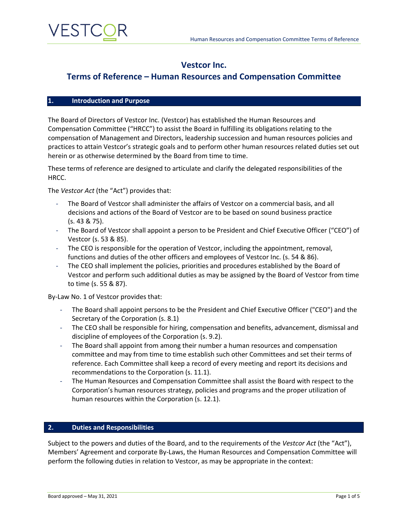

## **Vestcor Inc.**

## **Terms of Reference – Human Resources and Compensation Committee**

#### **1. Introduction and Purpose**

The Board of Directors of Vestcor Inc. (Vestcor) has established the Human Resources and Compensation Committee ("HRCC") to assist the Board in fulfilling its obligations relating to the compensation of Management and Directors, leadership succession and human resources policies and practices to attain Vestcor's strategic goals and to perform other human resources related duties set out herein or as otherwise determined by the Board from time to time.

These terms of reference are designed to articulate and clarify the delegated responsibilities of the HRCC.

The *Vestcor Act* (the "Act") provides that:

- The Board of Vestcor shall administer the affairs of Vestcor on a commercial basis, and all decisions and actions of the Board of Vestcor are to be based on sound business practice (s. 43 & 75).
- The Board of Vestcor shall appoint a person to be President and Chief Executive Officer ("CEO") of Vestcor (s. 53 & 85).
- The CEO is responsible for the operation of Vestcor, including the appointment, removal, functions and duties of the other officers and employees of Vestcor Inc. (s. 54 & 86).
- The CEO shall implement the policies, priorities and procedures established by the Board of Vestcor and perform such additional duties as may be assigned by the Board of Vestcor from time to time (s. 55 & 87).

By-Law No. 1 of Vestcor provides that:

- The Board shall appoint persons to be the President and Chief Executive Officer ("CEO") and the Secretary of the Corporation (s. 8.1)
- The CEO shall be responsible for hiring, compensation and benefits, advancement, dismissal and discipline of employees of the Corporation (s. 9.2).
- The Board shall appoint from among their number a human resources and compensation committee and may from time to time establish such other Committees and set their terms of reference. Each Committee shall keep a record of every meeting and report its decisions and recommendations to the Corporation (s. 11.1).
- The Human Resources and Compensation Committee shall assist the Board with respect to the Corporation's human resources strategy, policies and programs and the proper utilization of human resources within the Corporation (s. 12.1).

#### **2. Duties and Responsibilities**

Subject to the powers and duties of the Board, and to the requirements of the *Vestcor Act* (the "Act"), Members' Agreement and corporate By-Laws, the Human Resources and Compensation Committee will perform the following duties in relation to Vestcor, as may be appropriate in the context: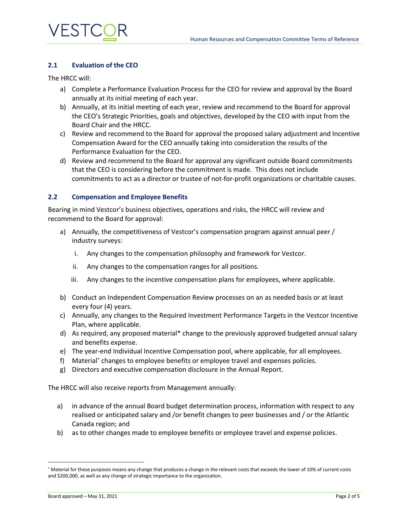

#### **2.1 Evaluation of the CEO**

The HRCC will:

- a) Complete a Performance Evaluation Process for the CEO for review and approval by the Board annually at its initial meeting of each year.
- b) Annually, at its initial meeting of each year, review and recommend to the Board for approval the CEO's Strategic Priorities, goals and objectives, developed by the CEO with input from the Board Chair and the HRCC.
- c) Review and recommend to the Board for approval the proposed salary adjustment and Incentive Compensation Award for the CEO annually taking into consideration the results of the Performance Evaluation for the CEO.
- d) Review and recommend to the Board for approval any significant outside Board commitments that the CEO is considering before the commitment is made. This does not include commitments to act as a director or trustee of not-for-profit organizations or charitable causes.

#### **2.2 Compensation and Employee Benefits**

Bearing in mind Vestcor's business objectives, operations and risks, the HRCC will review and recommend to the Board for approval:

- a) Annually, the competitiveness of Vestcor's compensation program against annual peer / industry surveys:
	- i. Any changes to the compensation philosophy and framework for Vestcor.
	- ii. Any changes to the compensation ranges for all positions.
	- iii. Any changes to the incentive compensation plans for employees, where applicable.
- b) Conduct an Independent Compensation Review processes on an as needed basis or at least every four (4) years.
- c) Annually, any changes to the Required Investment Performance Targets in the Vestcor Incentive Plan, where applicable.
- d) As required, any proposed material\* change to the previously approved budgeted annual salary and benefits expense.
- e) The year-end Individual Incentive Compensation pool, where applicable, for all employees.
- f) Material<sup>\*</sup> changes to employee benefits or employee travel and expenses policies.
- g) Directors and executive compensation disclosure in the Annual Report.

The HRCC will also receive reports from Management annually:

- a) in advance of the annual Board budget determination process, information with respect to any realised or anticipated salary and /or benefit changes to peer businesses and / or the Atlantic Canada region; and
- b) as to other changes made to employee benefits or employee travel and expense policies.

<sup>\*</sup> Material for these purposes means any change that produces a change in the relevant costs that exceeds the lower of 10% of current costs and \$200,000, as well as any change of strategic importance to the organization.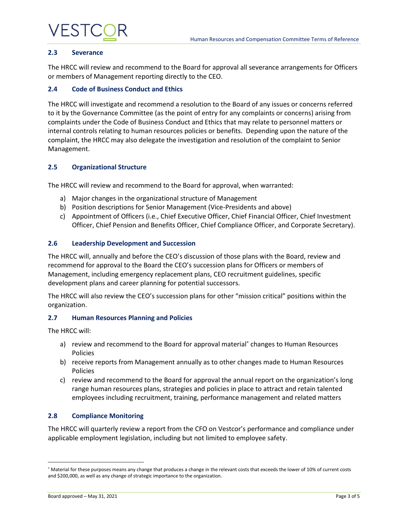## VESTC

#### **2.3 Severance**

The HRCC will review and recommend to the Board for approval all severance arrangements for Officers or members of Management reporting directly to the CEO.

## **2.4 Code of Business Conduct and Ethics**

The HRCC will investigate and recommend a resolution to the Board of any issues or concerns referred to it by the Governance Committee (as the point of entry for any complaints or concerns) arising from complaints under the Code of Business Conduct and Ethics that may relate to personnel matters or internal controls relating to human resources policies or benefits. Depending upon the nature of the complaint, the HRCC may also delegate the investigation and resolution of the complaint to Senior Management.

### **2.5 Organizational Structure**

The HRCC will review and recommend to the Board for approval, when warranted:

- a) Major changes in the organizational structure of Management
- b) Position descriptions for Senior Management (Vice-Presidents and above)
- c) Appointment of Officers (i.e., Chief Executive Officer, Chief Financial Officer, Chief Investment Officer, Chief Pension and Benefits Officer, Chief Compliance Officer, and Corporate Secretary).

## **2.6 Leadership Development and Succession**

The HRCC will, annually and before the CEO's discussion of those plans with the Board, review and recommend for approval to the Board the CEO's succession plans for Officers or members of Management, including emergency replacement plans, CEO recruitment guidelines, specific development plans and career planning for potential successors.

The HRCC will also review the CEO's succession plans for other "mission critical" positions within the organization.

### **2.7 Human Resources Planning and Policies**

The HRCC will:

- a) review and recommend to the Board for approval material<sup>\*</sup> changes to Human Resources Policies
- b) receive reports from Management annually as to other changes made to Human Resources Policies
- c) review and recommend to the Board for approval the annual report on the organization's long range human resources plans, strategies and policies in place to attract and retain talented employees including recruitment, training, performance management and related matters

### **2.8 Compliance Monitoring**

The HRCC will quarterly review a report from the CFO on Vestcor's performance and compliance under applicable employment legislation, including but not limited to employee safety.

Material for these purposes means any change that produces a change in the relevant costs that exceeds the lower of 10% of current costs and \$200,000, as well as any change of strategic importance to the organization.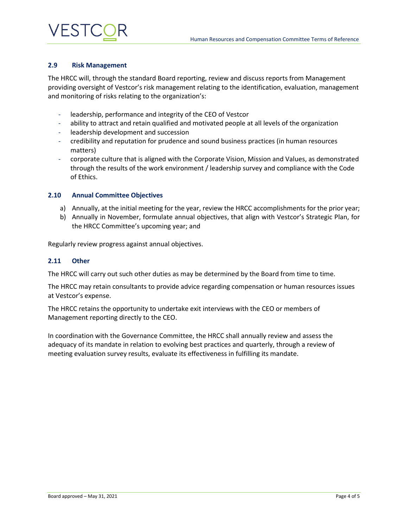# VESTC

### **2.9 Risk Management**

The HRCC will, through the standard Board reporting, review and discuss reports from Management providing oversight of Vestcor's risk management relating to the identification, evaluation, management and monitoring of risks relating to the organization's:

- leadership, performance and integrity of the CEO of Vestcor
- ability to attract and retain qualified and motivated people at all levels of the organization
- leadership development and succession
- credibility and reputation for prudence and sound business practices (in human resources matters)
- corporate culture that is aligned with the Corporate Vision, Mission and Values, as demonstrated through the results of the work environment / leadership survey and compliance with the Code of Ethics.

#### **2.10 Annual Committee Objectives**

- a) Annually, at the initial meeting for the year, review the HRCC accomplishments for the prior year;
- b) Annually in November, formulate annual objectives, that align with Vestcor's Strategic Plan, for the HRCC Committee's upcoming year; and

Regularly review progress against annual objectives.

#### **2.11 Other**

The HRCC will carry out such other duties as may be determined by the Board from time to time.

The HRCC may retain consultants to provide advice regarding compensation or human resources issues at Vestcor's expense.

The HRCC retains the opportunity to undertake exit interviews with the CEO or members of Management reporting directly to the CEO.

In coordination with the Governance Committee, the HRCC shall annually review and assess the adequacy of its mandate in relation to evolving best practices and quarterly, through a review of meeting evaluation survey results, evaluate its effectiveness in fulfilling its mandate.